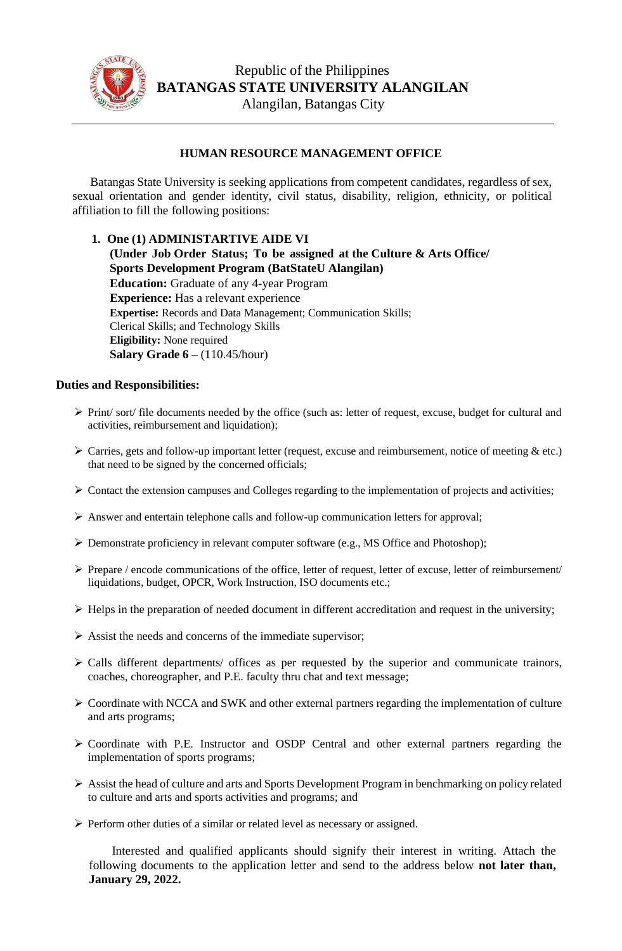

## **HUMAN RESOURCE MANAGEMENT OFFICE**

Batangas State University is seeking applications from competent candidates, regardless of sex, sexual orientation and gender identity, civil status, disability, religion, ethnicity, or political affiliation to fill the following positions:

## **1. One (1) ADMINISTARTIVE AIDE VI**

**(Under Job Order Status; To be assigned at the Culture & Arts Office/ Sports Development Program (BatStateU Alangilan) Education:** Graduate of any 4-year Program **Experience:** Has a relevant experience **Expertise:** Records and Data Management; Communication Skills; Clerical Skills; and Technology Skills **Eligibility:** None required **Salary Grade 6** – (110.45/hour)

## **Duties and Responsibilities:**

- ➢ Print/ sort/ file documents needed by the office (such as: letter of request, excuse, budget for cultural and activities, reimbursement and liquidation);
- $\triangleright$  Carries, gets and follow-up important letter (request, excuse and reimbursement, notice of meeting  $\&$  etc.) that need to be signed by the concerned officials;
- ➢ Contact the extension campuses and Colleges regarding to the implementation of projects and activities;
- ➢ Answer and entertain telephone calls and follow-up communication letters for approval;
- ➢ Demonstrate proficiency in relevant computer software (e.g., MS Office and Photoshop);
- ➢ Prepare / encode communications of the office, letter of request, letter of excuse, letter of reimbursement/ liquidations, budget, OPCR, Work Instruction, ISO documents etc.;
- $\triangleright$  Helps in the preparation of needed document in different accreditation and request in the university;
- ➢ Assist the needs and concerns of the immediate supervisor;
- ➢ Calls different departments/ offices as per requested by the superior and communicate trainors, coaches, choreographer, and P.E. faculty thru chat and text message;
- ➢ Coordinate with NCCA and SWK and other external partners regarding the implementation of culture and arts programs;
- ➢ Coordinate with P.E. Instructor and OSDP Central and other external partners regarding the implementation of sports programs;
- ➢ Assist the head of culture and arts and Sports Development Program in benchmarking on policy related to culture and arts and sports activities and programs; and
- ➢ Perform other duties of a similar or related level as necessary or assigned.

Interested and qualified applicants should signify their interest in writing. Attach the following documents to the application letter and send to the address below **not later than, January 29, 2022.**